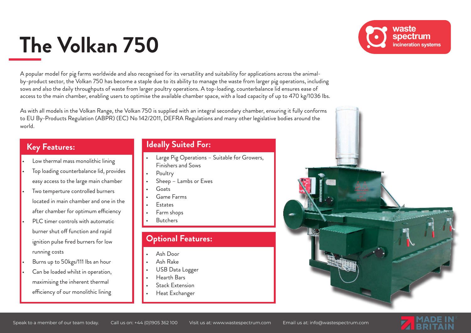# **The Volkan 750**

A popular model for pig farms worldwide and also recognised for its versatility and suitability for applications across the animalby-product sector, the Volkan 750 has become a staple due to its ability to manage the waste from larger pig operations, including sows and also the daily throughputs of waste from larger poultry operations. A top-loading, counterbalance lid ensures ease of access to the main chamber, enabling users to optimise the available chamber space, with a load capacity of up to 470 kg/1036 lbs.

As with all models in the Volkan Range, the Volkan 750 is supplied with an integral secondary chamber, ensuring it fully conforms to EU By-Products Regulation (ABPR) (EC) No 142/2011, DEFRA Regulations and many other legislative bodies around the world.

## **Key Features:**

- Low thermal mass monolithic lining
- Top loading counterbalance lid, provides easy access to the large main chamber
- Two temperture controlled burners located in main chamber and one in the after chamber for optimum efficiency
- PLC timer controls with automatic burner shut off function and rapid ignition pulse fired burners for low running costs
- Burns up to 50kgs/111 Ibs an hour
- Can be loaded whilst in operation, maximising the inherent thermal efficiency of our monolithic lining

#### **Ideally Suited For:**

- Large Pig Operations Suitable for Growers, Finishers and Sows
	- **Poultry**
- Sheep Lambs or Ewes
- Goats
- Game Farms
- Estates
- Farm shops
- Butchers

## **Optional Features:**

- Ash Door
- Ash Rake
- USB Data Logger
- Hearth Bars
- Stack Extension
- Heat Exchanger

waste spectrum incineration systems